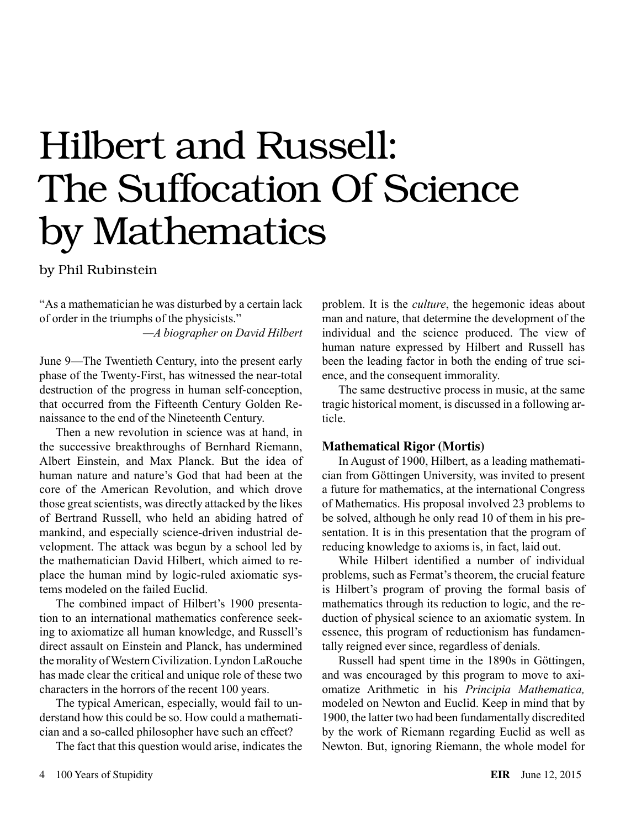# Hilbert and Russell: The Suffocation Of Science by Mathematics

by Phil Rubinstein

"As a mathematician he was disturbed by a certain lack of order in the triumphs of the physicists."

*—A biographer on David Hilbert*

June 9—The Twentieth Century, into the present early phase of the Twenty-First, has witnessed the near-total destruction of the progress in human self-conception, that occurred from the Fifteenth Century Golden Renaissance to the end of the Nineteenth Century.

Then a new revolution in science was at hand, in the successive breakthroughs of Bernhard Riemann, Albert Einstein, and Max Planck. But the idea of human nature and nature's God that had been at the core of the American Revolution, and which drove those great scientists, was directly attacked by the likes of Bertrand Russell, who held an abiding hatred of mankind, and especially science-driven industrial development. The attack was begun by a school led by the mathematician David Hilbert, which aimed to replace the human mind by logic-ruled axiomatic systems modeled on the failed Euclid.

The combined impact of Hilbert's 1900 presentation to an international mathematics conference seeking to axiomatize all human knowledge, and Russell's direct assault on Einstein and Planck, has undermined the morality of Western Civilization. Lyndon LaRouche has made clear the critical and unique role of these two characters in the horrors of the recent 100 years.

The typical American, especially, would fail to understand how this could be so. How could a mathematician and a so-called philosopher have such an effect?

The fact that this question would arise, indicates the

problem. It is the *culture*, the hegemonic ideas about man and nature, that determine the development of the individual and the science produced. The view of human nature expressed by Hilbert and Russell has been the leading factor in both the ending of true science, and the consequent immorality.

The same destructive process in music, at the same tragic historical moment, is discussed in a following article.

# **Mathematical Rigor (Mortis)**

In August of 1900, Hilbert, as a leading mathematician from Göttingen University, was invited to present a future for mathematics, at the international Congress of Mathematics. His proposal involved 23 problems to be solved, although he only read 10 of them in his presentation. It is in this presentation that the program of reducing knowledge to axioms is, in fact, laid out.

While Hilbert identified a number of individual problems, such as Fermat's theorem, the crucial feature is Hilbert's program of proving the formal basis of mathematics through its reduction to logic, and the reduction of physical science to an axiomatic system. In essence, this program of reductionism has fundamentally reigned ever since, regardless of denials.

Russell had spent time in the 1890s in Göttingen, and was encouraged by this program to move to axiomatize Arithmetic in his *Principia Mathematica,* modeled on Newton and Euclid. Keep in mind that by 1900, the latter two had been fundamentally discredited by the work of Riemann regarding Euclid as well as Newton. But, ignoring Riemann, the whole model for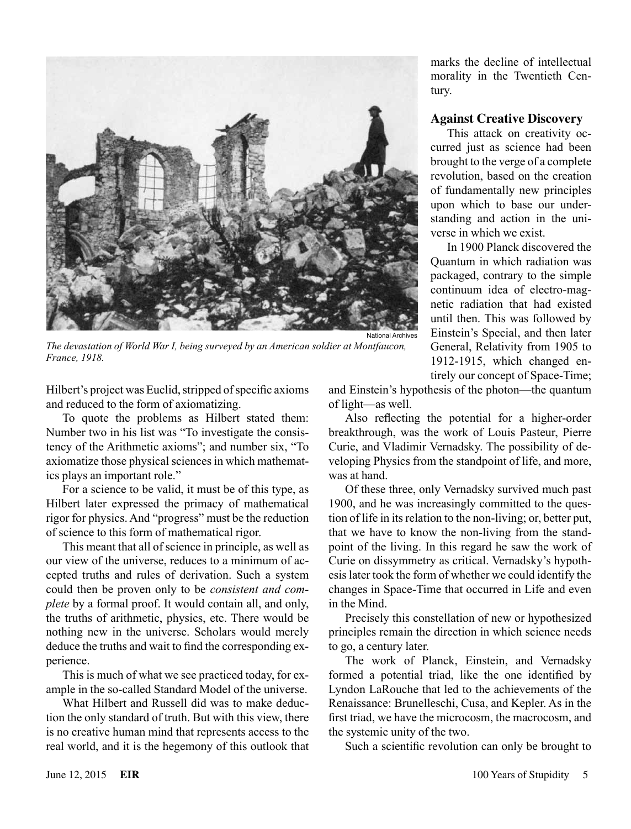

*The devastation of World War I, being surveyed by an American soldier at Montfaucon, France, 1918.*

Hilbert's project was Euclid, stripped of specific axioms and reduced to the form of axiomatizing.

To quote the problems as Hilbert stated them: Number two in his list was "To investigate the consistency of the Arithmetic axioms"; and number six, "To axiomatize those physical sciences in which mathematics plays an important role."

For a science to be valid, it must be of this type, as Hilbert later expressed the primacy of mathematical rigor for physics. And "progress" must be the reduction of science to this form of mathematical rigor.

This meant that all of science in principle, as well as our view of the universe, reduces to a minimum of accepted truths and rules of derivation. Such a system could then be proven only to be *consistent and complete* by a formal proof. It would contain all, and only, the truths of arithmetic, physics, etc. There would be nothing new in the universe. Scholars would merely deduce the truths and wait to find the corresponding experience.

This is much of what we see practiced today, for example in the so-called Standard Model of the universe.

What Hilbert and Russell did was to make deduction the only standard of truth. But with this view, there is no creative human mind that represents access to the real world, and it is the hegemony of this outlook that

marks the decline of intellectual morality in the Twentieth Century.

### **Against Creative Discovery**

This attack on creativity occurred just as science had been brought to the verge of a complete revolution, based on the creation of fundamentally new principles upon which to base our understanding and action in the universe in which we exist.

In 1900 Planck discovered the Quantum in which radiation was packaged, contrary to the simple continuum idea of electro-magnetic radiation that had existed until then. This was followed by Einstein's Special, and then later General, Relativity from 1905 to 1912-1915, which changed entirely our concept of Space-Time;

and Einstein's hypothesis of the photon—the quantum of light—as well.

Also reflecting the potential for a higher-order breakthrough, was the work of Louis Pasteur, Pierre Curie, and Vladimir Vernadsky. The possibility of developing Physics from the standpoint of life, and more, was at hand.

Of these three, only Vernadsky survived much past 1900, and he was increasingly committed to the question of life in its relation to the non-living; or, better put, that we have to know the non-living from the standpoint of the living. In this regard he saw the work of Curie on dissymmetry as critical. Vernadsky's hypothesis later took the form of whether we could identify the changes in Space-Time that occurred in Life and even in the Mind.

Precisely this constellation of new or hypothesized principles remain the direction in which science needs to go, a century later.

The work of Planck, Einstein, and Vernadsky formed a potential triad, like the one identified by Lyndon LaRouche that led to the achievements of the Renaissance: Brunelleschi, Cusa, and Kepler. As in the first triad, we have the microcosm, the macrocosm, and the systemic unity of the two.

Such a scientific revolution can only be brought to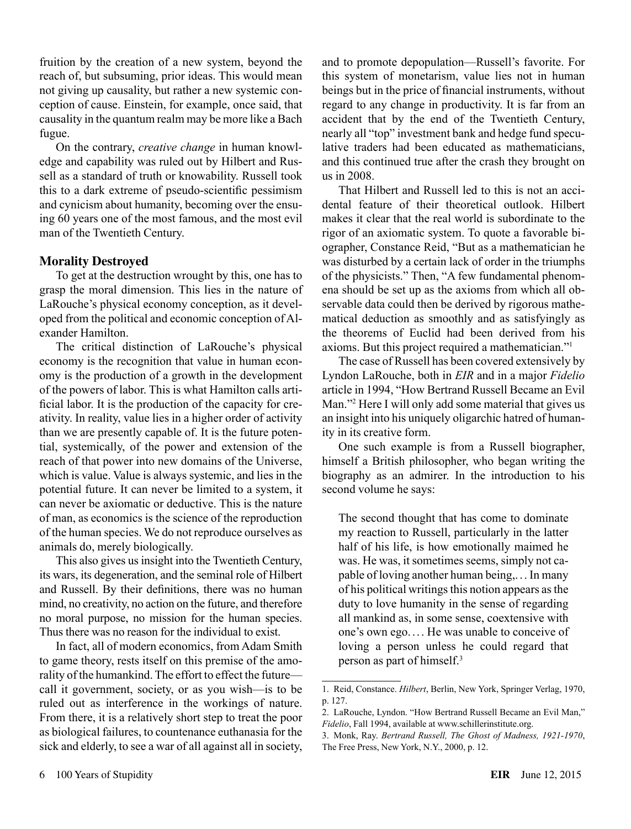fruition by the creation of a new system, beyond the reach of, but subsuming, prior ideas. This would mean not giving up causality, but rather a new systemic conception of cause. Einstein, for example, once said, that causality in the quantum realm may be more like a Bach fugue.

On the contrary, *creative change* in human knowledge and capability was ruled out by Hilbert and Russell as a standard of truth or knowability. Russell took this to a dark extreme of pseudo-scientific pessimism and cynicism about humanity, becoming over the ensuing 60 years one of the most famous, and the most evil man of the Twentieth Century.

# **Morality Destroyed**

To get at the destruction wrought by this, one has to grasp the moral dimension. This lies in the nature of LaRouche's physical economy conception, as it developed from the political and economic conception of Alexander Hamilton.

The critical distinction of LaRouche's physical economy is the recognition that value in human economy is the production of a growth in the development of the powers of labor. This is what Hamilton calls artificial labor. It is the production of the capacity for creativity. In reality, value lies in a higher order of activity than we are presently capable of. It is the future potential, systemically, of the power and extension of the reach of that power into new domains of the Universe, which is value. Value is always systemic, and lies in the potential future. It can never be limited to a system, it can never be axiomatic or deductive. This is the nature of man, as economics is the science of the reproduction of the human species. We do not reproduce ourselves as animals do, merely biologically.

This also gives us insight into the Twentieth Century, its wars, its degeneration, and the seminal role of Hilbert and Russell. By their definitions, there was no human mind, no creativity, no action on the future, and therefore no moral purpose, no mission for the human species. Thus there was no reason for the individual to exist.

In fact, all of modern economics, from Adam Smith to game theory, rests itself on this premise of the amorality of the humankind. The effort to effect the future call it government, society, or as you wish—is to be ruled out as interference in the workings of nature. From there, it is a relatively short step to treat the poor as biological failures, to countenance euthanasia for the sick and elderly, to see a war of all against all in society, and to promote depopulation—Russell's favorite. For this system of monetarism, value lies not in human beings but in the price of financial instruments, without regard to any change in productivity. It is far from an accident that by the end of the Twentieth Century, nearly all "top" investment bank and hedge fund speculative traders had been educated as mathematicians, and this continued true after the crash they brought on us in 2008.

That Hilbert and Russell led to this is not an accidental feature of their theoretical outlook. Hilbert makes it clear that the real world is subordinate to the rigor of an axiomatic system. To quote a favorable biographer, Constance Reid, "But as a mathematician he was disturbed by a certain lack of order in the triumphs of the physicists." Then, "A few fundamental phenomena should be set up as the axioms from which all observable data could then be derived by rigorous mathematical deduction as smoothly and as satisfyingly as the theorems of Euclid had been derived from his axioms. But this project required a mathematician."1

The case of Russell has been covered extensively by Lyndon LaRouche, both in *EIR* and in a major *Fidelio* article in 1994, "How Bertrand Russell Became an Evil Man."2 Here I will only add some material that gives us an insight into his uniquely oligarchic hatred of humanity in its creative form.

One such example is from a Russell biographer, himself a British philosopher, who began writing the biography as an admirer. In the introduction to his second volume he says:

The second thought that has come to dominate my reaction to Russell, particularly in the latter half of his life, is how emotionally maimed he was. He was, it sometimes seems, simply not capable of loving another human being,. .. In many of his political writings this notion appears as the duty to love humanity in the sense of regarding all mankind as, in some sense, coextensive with one's own ego.... He was unable to conceive of loving a person unless he could regard that person as part of himself.3

<sup>1.</sup> Reid, Constance. *Hilbert*, Berlin, New York, Springer Verlag, 1970, p. 127.

<sup>2.</sup> LaRouche, Lyndon. "How Bertrand Russell Became an Evil Man," *Fidelio*, Fall 1994, available at www.schillerinstitute.org.

<sup>3.</sup> Monk, Ray. *Bertrand Russell, The Ghost of Madness, 1921-1970*, The Free Press, New York, N.Y., 2000, p. 12.